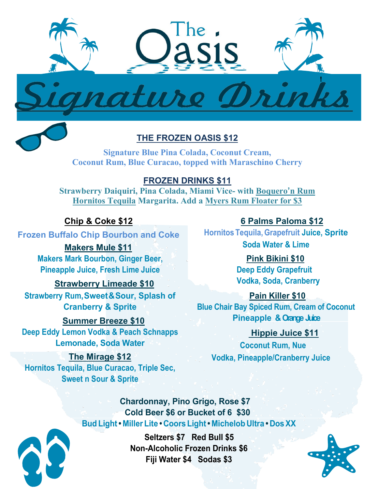

# **THE FROZEN OASIS \$12**

**Signature Blue Pina Colada, Coconut Cream, Coconut Rum, Blue Curacao, topped with Maraschino Cherry**

## **FROZEN DRINKS \$11**

**Strawberry Daiquiri, Pina Colada, Miami Vice- with Boquero'n Rum Hornitos Tequila Margarita. Add a Myers Rum Floater for \$3**

#### **Chip & Coke \$12**

**Frozen Buffalo Chip Bourbon and Coke**

 **Makers Mule \$11 Makers Mark Bourbon, Ginger Beer, Pineapple Juice, Fresh Lime Juice** 

 **Strawberry Limeade \$10 Strawberry Rum,Sweet&Sour, Splash of Cranberry & Sprite**

## **Summer Breeze \$10 Deep Eddy Lemon Vodka & Peach Schnapps**

**Lemonade, Soda Water**

**The Mirage \$12 Hornitos Tequila, Blue Curacao, Triple Sec, Sweet n Sour & Sprite**

**6 Palms Paloma \$12**

**Hornitos Tequila, Grapefruit Juice, Sprite Soda Water & Lime**

## **Pink Bikini \$10 Deep Eddy Grapefruit Vodka, Soda, Cranberry**

 **Pain Killer \$10 Blue Chair Bay Spiced Rum, Cream of Coconut Pineapple & Orange Juice**

 **Hippie Juice \$11 Coconut Rum, Nue Vodka, Pineapple/Cranberry Juice**

 **Chardonnay, Pino Grigo, Rose \$7 Cold Beer \$6 or Bucket of 6 \$30 Bud Light• Miller Lite • Coors Light• Michelob Ultra • DosXX** 



**Seltzers \$7 Red Bull \$5 Non-Alcoholic Frozen Drinks \$6 Fiji Water \$4 Sodas \$3**